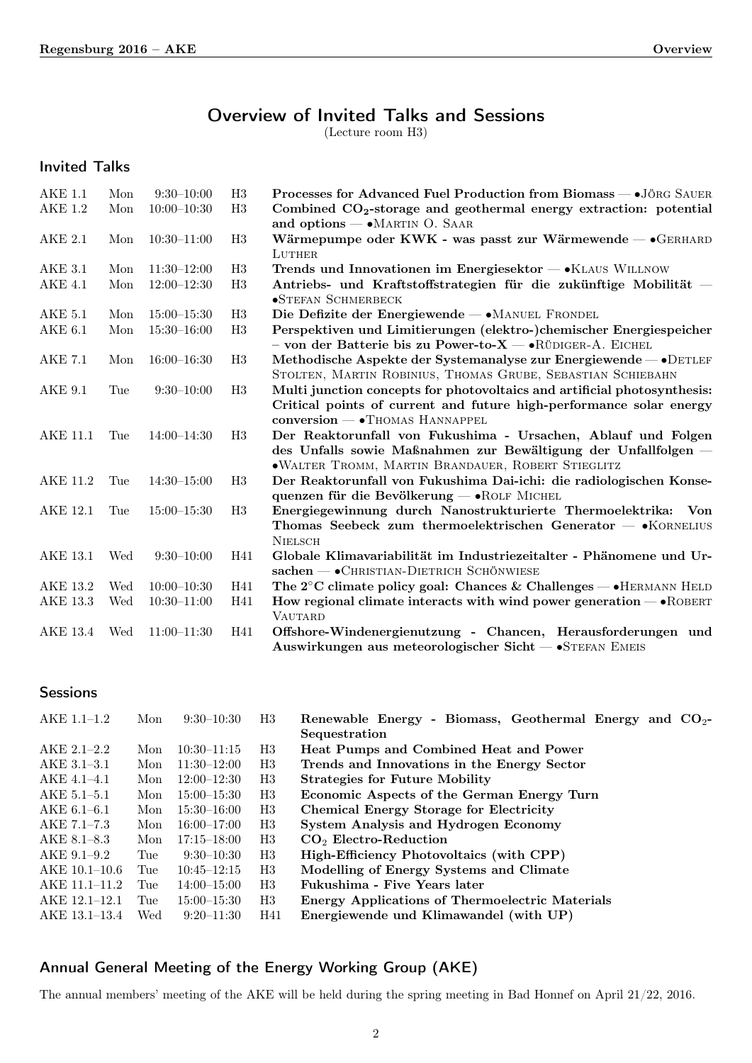# Overview of Invited Talks and Sessions

(Lecture room H3)

Invited Talks

| <b>AKE 1.1</b>  | Mon | $9:30-10:00$    | H3             | Processes for Advanced Fuel Production from Biomass - . JÖRG SAUER           |
|-----------------|-----|-----------------|----------------|------------------------------------------------------------------------------|
| <b>AKE 1.2</b>  | Mon | $10:00-10:30$   | H3             | Combined $CO2$ -storage and geothermal energy extraction: potential          |
|                 |     |                 |                | and options - • MARTIN O. SAAR                                               |
| AKE 2.1         | Mon | $10:30 - 11:00$ | H3             | Wärmepumpe oder KWK - was passt zur Wärmewende $-$ • GERHARD                 |
|                 |     |                 |                | LUTHER                                                                       |
| AKE 3.1         | Mon | $11:30-12:00$   | H3             | Trends und Innovationen im Energiesektor - KLAUS WILLNOW                     |
| <b>AKE 4.1</b>  | Mon | $12:00 - 12:30$ | H3             | Antriebs- und Kraftstoffstrategien für die zukünftige Mobilität –            |
|                 |     |                 |                | <b>•STEFAN SCHMERBECK</b>                                                    |
| <b>AKE 5.1</b>  | Mon | $15:00 - 15:30$ | H <sub>3</sub> | Die Defizite der Energiewende - • MANUEL FRONDEL                             |
| $AKE$ 6.1       | Mon | $15:30 - 16:00$ | H3             | Perspektiven und Limitierungen (elektro-)chemischer Energiespeicher          |
|                 |     |                 |                | - von der Batterie bis zu Power-to-X - · RÜDIGER-A. EICHEL                   |
| AKE 7.1         | Mon | $16:00 - 16:30$ | H3             | Methodische Aspekte der Systemanalyse zur Energiewende – • DETLEF            |
|                 |     |                 |                | STOLTEN, MARTIN ROBINIUS, THOMAS GRUBE, SEBASTIAN SCHIEBAHN                  |
| AKE 9.1         | Tue | $9:30-10:00$    | H3             | Multi junction concepts for photovoltaics and artificial photosynthesis:     |
|                 |     |                 |                | Critical points of current and future high-performance solar energy          |
|                 |     |                 |                | conversion - • THOMAS HANNAPPEL                                              |
| <b>AKE 11.1</b> | Tue | $14:00 - 14:30$ | H3             | Der Reaktorunfall von Fukushima - Ursachen, Ablauf und Folgen                |
|                 |     |                 |                | des Unfalls sowie Maßnahmen zur Bewältigung der Unfallfolgen -               |
|                 |     |                 |                | · WALTER TROMM, MARTIN BRANDAUER, ROBERT STIEGLITZ                           |
| <b>AKE 11.2</b> | Tue | $14:30 - 15:00$ | H3             | Der Reaktorunfall von Fukushima Dai-ichi: die radiologischen Konse-          |
|                 |     |                 |                | quenzen für die Bevölkerung - «ROLF MICHEL                                   |
| AKE 12.1        | Tue | $15:00 - 15:30$ | H3             | Energiegewinnung durch Nanostrukturierte Thermoelektrika:<br>Von             |
|                 |     |                 |                | Thomas Seebeck zum thermoelektrischen Generator $ \bullet$ KORNELIUS         |
|                 |     |                 |                | <b>NIELSCH</b>                                                               |
| AKE 13.1        | Wed | $9:30-10:00$    | H41            | Globale Klimavariabilität im Industriezeitalter - Phänomene und Ur-          |
|                 |     |                 |                | $sachen$ — $\bullet$ CHRISTIAN-DIETRICH SCHÖNWIESE                           |
| AKE 13.2        | Wed | $10:00 - 10:30$ | H41            | The $2^{\circ}$ C climate policy goal: Chances & Challenges — • HERMANN HELD |
| <b>AKE 13.3</b> | Wed | $10:30 - 11:00$ | H41            | How regional climate interacts with wind power generation $-$ • ROBERT       |
|                 |     |                 |                | <b>VAUTARD</b>                                                               |
| AKE 13.4        | Wed | $11:00-11:30$   | H41            | Offshore-Windenergienutzung - Chancen, Herausforderungen und                 |
|                 |     |                 |                | Auswirkungen aus meteorologischer Sicht - STEFAN EMEIS                       |

**Sessions** 

| AKE 1.1-1.2     | Mon | $9:30-10:30$    | H3  | Renewable Energy - Biomass, Geothermal Energy and $CO2$ - |
|-----------------|-----|-----------------|-----|-----------------------------------------------------------|
|                 |     |                 |     | Sequestration                                             |
| $AKE 2.1 - 2.2$ | Mon | $10:30-11:15$   | H3  | Heat Pumps and Combined Heat and Power                    |
| $AKE$ 3.1-3.1   | Mon | $11:30-12:00$   | H3  | Trends and Innovations in the Energy Sector               |
| AKE 4.1-4.1     | Mon | $12:00 - 12:30$ | H3  | <b>Strategies for Future Mobility</b>                     |
| $AKE 5.1 - 5.1$ | Mon | $15:00 - 15:30$ | H3  | Economic Aspects of the German Energy Turn                |
| $AKE 6.1 - 6.1$ | Mon | $15:30 - 16:00$ | H3  | <b>Chemical Energy Storage for Electricity</b>            |
| AKE 7.1-7.3     | Mon | $16:00 - 17:00$ | H3  | System Analysis and Hydrogen Economy                      |
| AKE 8.1–8.3     | Mon | $17:15 - 18:00$ | H3  | $CO2$ Electro-Reduction                                   |
| AKE 9.1–9.2     | Tue | $9:30-10:30$    | H3  | High-Efficiency Photovoltaics (with CPP)                  |
| AKE 10.1-10.6   | Tue | $10:45 - 12:15$ | H3  | Modelling of Energy Systems and Climate                   |
| AKE 11.1-11.2   | Tue | $14:00 - 15:00$ | H3  | Fukushima - Five Years later                              |
| AKE 12.1-12.1   | Tue | $15:00 - 15:30$ | H3  | Energy Applications of Thermoelectric Materials           |
| AKE 13.1–13.4   | Wed | $9:20 - 11:30$  | H41 | Energiewende und Klimawandel (with UP)                    |

## Annual General Meeting of the Energy Working Group (AKE)

The annual members' meeting of the AKE will be held during the spring meeting in Bad Honnef on April 21/22, 2016.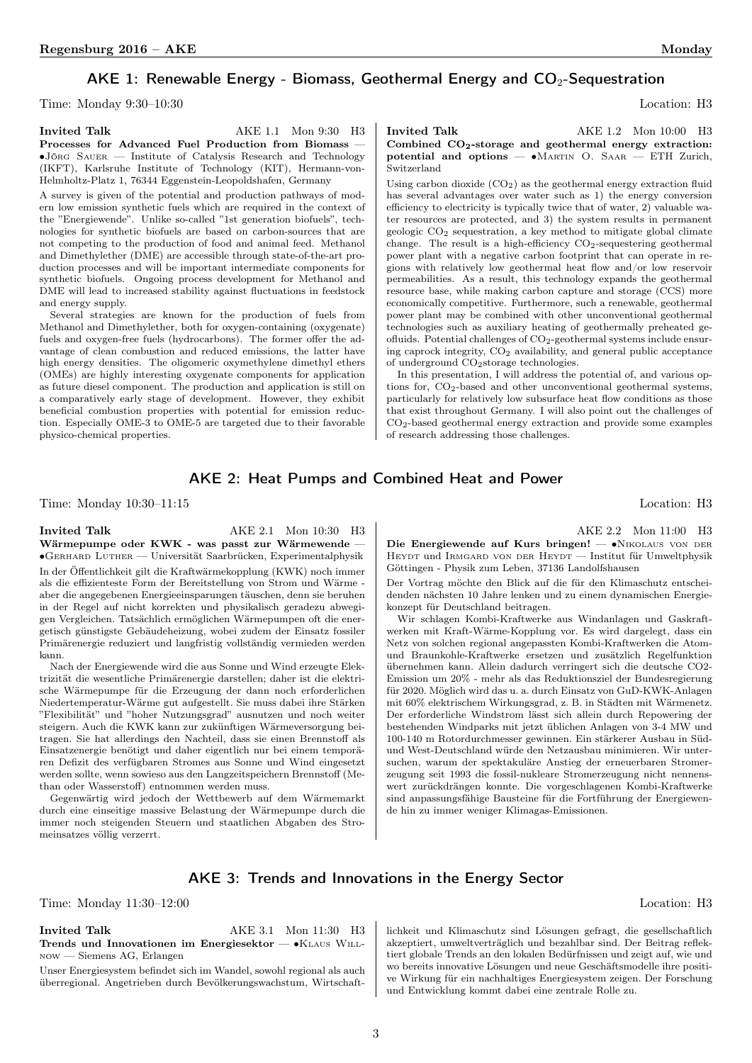## AKE 1: Renewable Energy - Biomass, Geothermal Energy and  $CO<sub>2</sub>$ -Sequestration

Time: Monday 9:30–10:30 Location: H3

Invited Talk  $AKE 1.1$  Mon 9:30 H3 Processes for Advanced Fuel Production from Biomass ∙Jörg Sauer — Institute of Catalysis Research and Technology (IKFT), Karlsruhe Institute of Technology (KIT), Hermann-von-Helmholtz-Platz 1, 76344 Eggenstein-Leopoldshafen, Germany

A survey is given of the potential and production pathways of modern low emission synthetic fuels which are required in the context of the "Energiewende". Unlike so-called "1st generation biofuels", technologies for synthetic biofuels are based on carbon-sources that are not competing to the production of food and animal feed. Methanol and Dimethylether (DME) are accessible through state-of-the-art production processes and will be important intermediate components for synthetic biofuels. Ongoing process development for Methanol and DME will lead to increased stability against fluctuations in feedstock and energy supply.

Several strategies are known for the production of fuels from Methanol and Dimethylether, both for oxygen-containing (oxygenate) fuels and oxygen-free fuels (hydrocarbons). The former offer the advantage of clean combustion and reduced emissions, the latter have high energy densities. The oligomeric oxymethylene dimethyl ethers (OMEs) are highly interesting oxygenate components for application as future diesel component. The production and application is still on a comparatively early stage of development. However, they exhibit beneficial combustion properties with potential for emission reduction. Especially OME-3 to OME-5 are targeted due to their favorable physico-chemical properties.

<span id="page-1-1"></span>

<span id="page-1-0"></span>Invited Talk  $AKE 1.2$  Mon 10:00 H3 Combined CO<sub>2</sub>-storage and geothermal energy extraction: potential and options — ∙Martin O. Saar — ETH Zurich, Switzerland

Using carbon dioxide  $(CO<sub>2</sub>)$  as the geothermal energy extraction fluid has several advantages over water such as 1) the energy conversion efficiency to electricity is typically twice that of water, 2) valuable water resources are protected, and 3) the system results in permanent geologic CO<sup>2</sup> sequestration, a key method to mitigate global climate change. The result is a high-efficiency CO<sub>2</sub>-sequestering geothermal power plant with a negative carbon footprint that can operate in regions with relatively low geothermal heat flow and/or low reservoir permeabilities. As a result, this technology expands the geothermal resource base, while making carbon capture and storage (CCS) more economically competitive. Furthermore, such a renewable, geothermal power plant may be combined with other unconventional geothermal technologies such as auxiliary heating of geothermally preheated geofluids. Potential challenges of CO2-geothermal systems include ensuring caprock integrity,  $CO<sub>2</sub>$  availability, and general public acceptance of underground  $\rm CO_2$  storage technologies.

In this presentation, I will address the potential of, and various options for, CO2-based and other unconventional geothermal systems, particularly for relatively low subsurface heat flow conditions as those that exist throughout Germany. I will also point out the challenges of CO2-based geothermal energy extraction and provide some examples of research addressing those challenges.

#### AKE 2: Heat Pumps and Combined Heat and Power

Time: Monday 10:30–11:15 Location: H3

Invited Talk AKE 2.1 Mon 10:30 H3 Wärmepumpe oder KWK - was passt zur Wärmewende — ∙Gerhard Luther — Universität Saarbrücken, Experimentalphysik In der Öffentlichkeit gilt die Kraftwärmekopplung (KWK) noch immer als die effizienteste Form der Bereitstellung von Strom und Wärme aber die angegebenen Energieeinsparungen täuschen, denn sie beruhen in der Regel auf nicht korrekten und physikalisch geradezu abwegigen Vergleichen. Tatsächlich ermöglichen Wärmepumpen oft die energetisch günstigste Gebäudeheizung, wobei zudem der Einsatz fossiler Primärenergie reduziert und langfristig vollständig vermieden werden kann.

Nach der Energiewende wird die aus Sonne und Wind erzeugte Elektrizität die wesentliche Primärenergie darstellen; daher ist die elektrische Wärmepumpe für die Erzeugung der dann noch erforderlichen Niedertemperatur-Wärme gut aufgestellt. Sie muss dabei ihre Stärken "Flexibilität" und "hoher Nutzungsgrad" ausnutzen und noch weiter steigern. Auch die KWK kann zur zukünftigen Wärmeversorgung beitragen. Sie hat allerdings den Nachteil, dass sie einen Brennstoff als Einsatzenergie benötigt und daher eigentlich nur bei einem temporären Defizit des verfügbaren Stromes aus Sonne und Wind eingesetzt werden sollte, wenn sowieso aus den Langzeitspeichern Brennstoff (Methan oder Wasserstoff) entnommen werden muss.

Gegenwärtig wird jedoch der Wettbewerb auf dem Wärmemarkt durch eine einseitige massive Belastung der Wärmepumpe durch die immer noch steigenden Steuern und staatlichen Abgaben des Stromeinsatzes völlig verzerrt.

AKE 2.2 Mon 11:00 H3

Die Energiewende auf Kurs bringen! — ∙Nikolaus von der HEYDT und IRMGARD VON DER HEYDT — Institut für Umweltphysik Göttingen - Physik zum Leben, 37136 Landolfshausen

Der Vortrag möchte den Blick auf die für den Klimaschutz entscheidenden nächsten 10 Jahre lenken und zu einem dynamischen Energiekonzept für Deutschland beitragen.

Wir schlagen Kombi-Kraftwerke aus Windanlagen und Gaskraftwerken mit Kraft-Wärme-Kopplung vor. Es wird dargelegt, dass ein Netz von solchen regional angepassten Kombi-Kraftwerken die Atomund Braunkohle-Kraftwerke ersetzen und zusätzlich Regelfunktion übernehmen kann. Allein dadurch verringert sich die deutsche CO2- Emission um 20% - mehr als das Reduktionsziel der Bundesregierung für 2020. Möglich wird das u. a. durch Einsatz von GuD-KWK-Anlagen mit 60% elektrischem Wirkungsgrad, z. B. in Städten mit Wärmenetz. Der erforderliche Windstrom lässt sich allein durch Repowering der bestehenden Windparks mit jetzt üblichen Anlagen von 3-4 MW und 100-140 m Rotordurchmesser gewinnen. Ein stärkerer Ausbau in Südund West-Deutschland würde den Netzausbau minimieren. Wir untersuchen, warum der spektakuläre Anstieg der erneuerbaren Stromerzeugung seit 1993 die fossil-nukleare Stromerzeugung nicht nennenswert zurückdrängen konnte. Die vorgeschlagenen Kombi-Kraftwerke sind anpassungsfähige Bausteine für die Fortführung der Energiewende hin zu immer weniger Klimagas-Emissionen.

#### AKE 3: Trends and Innovations in the Energy Sector

Time: Monday 11:30–12:00 Location: H3

Invited Talk  $AKE 3.1$  Mon 11:30 H3 Trends und Innovationen im Energiesektor — •KLAUS WILLnow — Siemens AG, Erlangen

Unser Energiesystem befindet sich im Wandel, sowohl regional als auch überregional. Angetrieben durch Bevölkerungswachstum, Wirtschaftlichkeit und Klimaschutz sind Lösungen gefragt, die gesellschaftlich akzeptiert, umweltverträglich und bezahlbar sind. Der Beitrag reflektiert globale Trends an den lokalen Bedürfnissen und zeigt auf, wie und wo bereits innovative Lösungen und neue Geschäftsmodelle ihre positive Wirkung für ein nachhaltiges Energiesystem zeigen. Der Forschung und Entwicklung kommt dabei eine zentrale Rolle zu.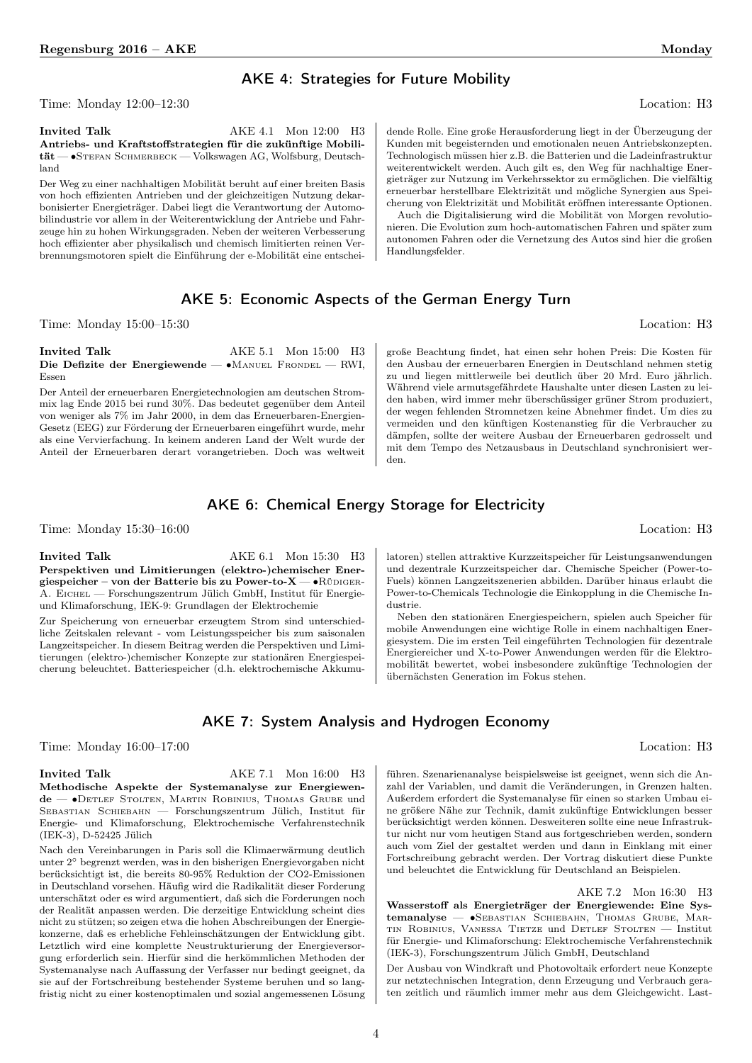#### AKE 4: Strategies for Future Mobility

Time: Monday 12:00–12:30 Location: H3

Invited Talk  $AKE 4.1$  Mon 12:00 H3 Antriebs- und Kraftstoffstrategien für die zukünftige Mobilität — ∙Stefan Schmerbeck — Volkswagen AG, Wolfsburg, Deutschland

Der Weg zu einer nachhaltigen Mobilität beruht auf einer breiten Basis von hoch effizienten Antrieben und der gleichzeitigen Nutzung dekarbonisierter Energieträger. Dabei liegt die Verantwortung der Automobilindustrie vor allem in der Weiterentwicklung der Antriebe und Fahrzeuge hin zu hohen Wirkungsgraden. Neben der weiteren Verbesserung hoch effizienter aber physikalisch und chemisch limitierten reinen Verbrennungsmotoren spielt die Einführung der e-Mobilität eine entschei-

dende Rolle. Eine große Herausforderung liegt in der Überzeugung der Kunden mit begeisternden und emotionalen neuen Antriebskonzepten. Technologisch müssen hier z.B. die Batterien und die Ladeinfrastruktur weiterentwickelt werden. Auch gilt es, den Weg für nachhaltige Energieträger zur Nutzung im Verkehrssektor zu ermöglichen. Die vielfältig erneuerbar herstellbare Elektrizität und mögliche Synergien aus Speicherung von Elektrizität und Mobilität eröffnen interessante Optionen.

Auch die Digitalisierung wird die Mobilität von Morgen revolutionieren. Die Evolution zum hoch-automatischen Fahren und später zum autonomen Fahren oder die Vernetzung des Autos sind hier die großen Handlungsfelder.

#### AKE 5: Economic Aspects of the German Energy Turn

Time: Monday 15:00–15:30 Location: H3

Invited Talk  $AKE 5.1$  Mon 15:00 H3 Die Defizite der Energiewende — •MANUEL FRONDEL — RWI, Essen

Der Anteil der erneuerbaren Energietechnologien am deutschen Strommix lag Ende 2015 bei rund 30%. Das bedeutet gegenüber dem Anteil von weniger als 7% im Jahr 2000, in dem das Erneuerbaren-Energien-Gesetz (EEG) zur Förderung der Erneuerbaren eingeführt wurde, mehr als eine Vervierfachung. In keinem anderen Land der Welt wurde der Anteil der Erneuerbaren derart vorangetrieben. Doch was weltweit

große Beachtung findet, hat einen sehr hohen Preis: Die Kosten für den Ausbau der erneuerbaren Energien in Deutschland nehmen stetig zu und liegen mittlerweile bei deutlich über 20 Mrd. Euro jährlich. Während viele armutsgefährdete Haushalte unter diesen Lasten zu leiden haben, wird immer mehr überschüssiger grüner Strom produziert, der wegen fehlenden Stromnetzen keine Abnehmer findet. Um dies zu vermeiden und den künftigen Kostenanstieg für die Verbraucher zu dämpfen, sollte der weitere Ausbau der Erneuerbaren gedrosselt und mit dem Tempo des Netzausbaus in Deutschland synchronisiert werden.

## AKE 6: Chemical Energy Storage for Electricity

Time: Monday 15:30–16:00 Location: H3

Invited Talk  $AKE 6.1$  Mon 15:30 H3 Perspektiven und Limitierungen (elektro-)chemischer Energiespeicher – von der Batterie bis zu Power-to-X — • RÜDIGER-A. Eichel — Forschungszentrum Jülich GmbH, Institut für Energieund Klimaforschung, IEK-9: Grundlagen der Elektrochemie

Zur Speicherung von erneuerbar erzeugtem Strom sind unterschiedliche Zeitskalen relevant - vom Leistungsspeicher bis zum saisonalen Langzeitspeicher. In diesem Beitrag werden die Perspektiven und Limitierungen (elektro-)chemischer Konzepte zur stationären Energiespeicherung beleuchtet. Batteriespeicher (d.h. elektrochemische Akkumulatoren) stellen attraktive Kurzzeitspeicher für Leistungsanwendungen und dezentrale Kurzzeitspeicher dar. Chemische Speicher (Power-to-Fuels) können Langzeitszenerien abbilden. Darüber hinaus erlaubt die Power-to-Chemicals Technologie die Einkopplung in die Chemische Industrie.

Neben den stationären Energiespeichern, spielen auch Speicher für mobile Anwendungen eine wichtige Rolle in einem nachhaltigen Energiesystem. Die im ersten Teil eingeführten Technologien für dezentrale Energiereicher und X-to-Power Anwendungen werden für die Elektromobilität bewertet, wobei insbesondere zukünftige Technologien der übernächsten Generation im Fokus stehen.

#### AKE 7: System Analysis and Hydrogen Economy

Time: Monday 16:00–17:00 Location: H3

Invited Talk  $AKE 7.1$  Mon 16:00 H3 Methodische Aspekte der Systemanalyse zur Energiewende — ∙Detlef Stolten, Martin Robinius, Thomas Grube und Sebastian Schiebahn — Forschungszentrum Jülich, Institut für Energie- und Klimaforschung, Elektrochemische Verfahrenstechnik (IEK-3), D-52425 Jülich

Nach den Vereinbarungen in Paris soll die Klimaerwärmung deutlich unter 2<sup>∘</sup> begrenzt werden, was in den bisherigen Energievorgaben nicht berücksichtigt ist, die bereits 80-95% Reduktion der CO2-Emissionen in Deutschland vorsehen. Häufig wird die Radikalität dieser Forderung unterschätzt oder es wird argumentiert, daß sich die Forderungen noch der Realität anpassen werden. Die derzeitige Entwicklung scheint dies nicht zu stützen; so zeigen etwa die hohen Abschreibungen der Energiekonzerne, daß es erhebliche Fehleinschätzungen der Entwicklung gibt. Letztlich wird eine komplette Neustrukturierung der Energieversorgung erforderlich sein. Hierfür sind die herkömmlichen Methoden der Systemanalyse nach Auffassung der Verfasser nur bedingt geeignet, da sie auf der Fortschreibung bestehender Systeme beruhen und so langfristig nicht zu einer kostenoptimalen und sozial angemessenen Lösung führen. Szenarienanalyse beispielsweise ist geeignet, wenn sich die Anzahl der Variablen, und damit die Veränderungen, in Grenzen halten. Außerdem erfordert die Systemanalyse für einen so starken Umbau eine größere Nähe zur Technik, damit zukünftige Entwicklungen besser berücksichtigt werden können. Desweiteren sollte eine neue Infrastruktur nicht nur vom heutigen Stand aus fortgeschrieben werden, sondern auch vom Ziel der gestaltet werden und dann in Einklang mit einer Fortschreibung gebracht werden. Der Vortrag diskutiert diese Punkte und beleuchtet die Entwicklung für Deutschland an Beispielen.

AKE 7.2 Mon 16:30 H3 Wasserstoff als Energieträger der Energiewende: Eine Systemanalyse — ∙Sebastian Schiebahn, Thomas Grube, Martin Robinius, Vanessa Tietze und Detlef Stolten — Institut für Energie- und Klimaforschung: Elektrochemische Verfahrenstechnik (IEK-3), Forschungszentrum Jülich GmbH, Deutschland

Der Ausbau von Windkraft und Photovoltaik erfordert neue Konzepte zur netztechnischen Integration, denn Erzeugung und Verbrauch geraten zeitlich und räumlich immer mehr aus dem Gleichgewicht. Last-

4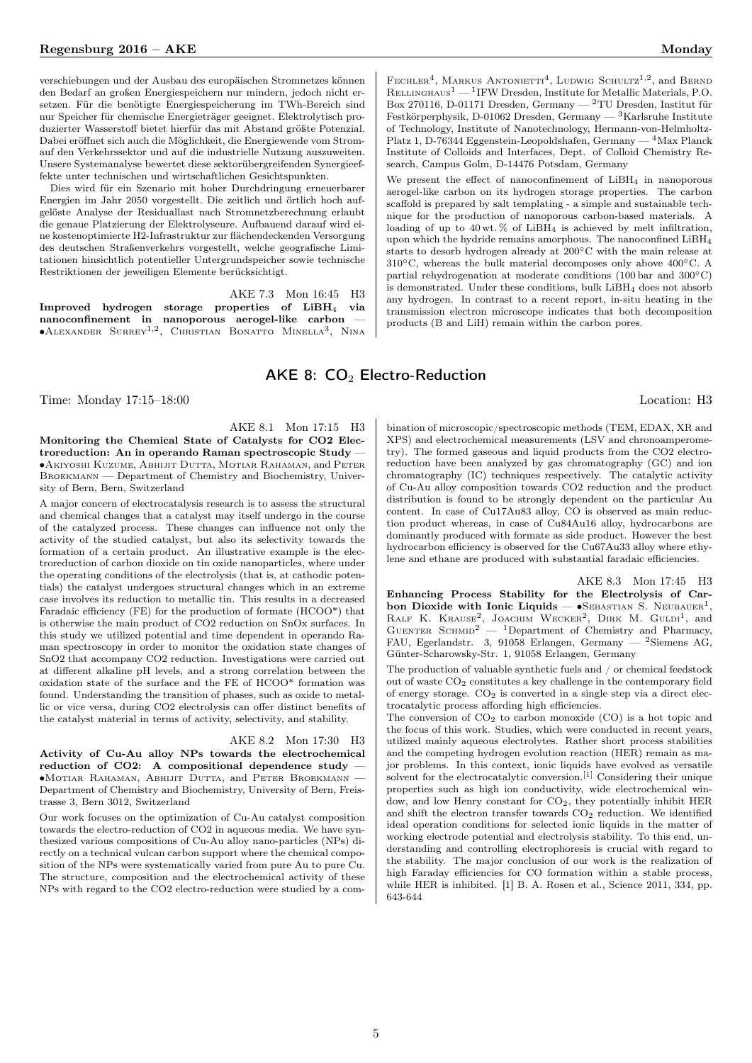verschiebungen und der Ausbau des europäischen Stromnetzes können den Bedarf an großen Energiespeichern nur mindern, jedoch nicht ersetzen. Für die benötigte Energiespeicherung im TWh-Bereich sind nur Speicher für chemische Energieträger geeignet. Elektrolytisch produzierter Wasserstoff bietet hierfür das mit Abstand größte Potenzial. Dabei eröffnet sich auch die Möglichkeit, die Energiewende vom Stromauf den Verkehrssektor und auf die industrielle Nutzung auszuweiten. Unsere Systemanalyse bewertet diese sektorübergreifenden Synergieeffekte unter technischen und wirtschaftlichen Gesichtspunkten.

Dies wird für ein Szenario mit hoher Durchdringung erneuerbarer Energien im Jahr 2050 vorgestellt. Die zeitlich und örtlich hoch aufgelöste Analyse der Residuallast nach Stromnetzberechnung erlaubt die genaue Platzierung der Elektrolyseure. Aufbauend darauf wird eine kostenoptimierte H2-Infrastruktur zur flächendeckenden Versorgung des deutschen Straßenverkehrs vorgestellt, welche geografische Limitationen hinsichtlich potentieller Untergrundspeicher sowie technische Restriktionen der jeweiligen Elemente berücksichtigt.

AKE 7.3 Mon 16:45 H3 Improved hydrogen storage properties of LiBH<sup>4</sup> via nanoconfinement in nanoporous aerogel-like carbon —<br>●ALEXANDER SURREY<sup>1,2</sup>, CHRISTIAN BONATTO MINELLA<sup>3</sup>, NINA

#### <span id="page-3-0"></span>AKE 8:  $CO<sub>2</sub>$  Electro-Reduction

Time: Monday 17:15–18:00 Location: H3

AKE 8.1 Mon 17:15 H3 Monitoring the Chemical State of Catalysts for CO2 Electroreduction: An in operando Raman spectroscopic Study — ∙Akiyoshi Kuzume, Abhijit Dutta, Motiar Rahaman, and Peter Broekmann — Department of Chemistry and Biochemistry, University of Bern, Bern, Switzerland

A major concern of electrocatalysis research is to assess the structural and chemical changes that a catalyst may itself undergo in the course of the catalyzed process. These changes can influence not only the activity of the studied catalyst, but also its selectivity towards the formation of a certain product. An illustrative example is the electroreduction of carbon dioxide on tin oxide nanoparticles, where under the operating conditions of the electrolysis (that is, at cathodic potentials) the catalyst undergoes structural changes which in an extreme case involves its reduction to metallic tin. This results in a decreased Faradaic efficiency (FE) for the production of formate (HCOO\*) that is otherwise the main product of CO2 reduction on SnOx surfaces. In this study we utilized potential and time dependent in operando Raman spectroscopy in order to monitor the oxidation state changes of SnO2 that accompany CO2 reduction. Investigations were carried out at different alkaline pH levels, and a strong correlation between the oxidation state of the surface and the FE of HCOO\* formation was found. Understanding the transition of phases, such as oxide to metallic or vice versa, during CO2 electrolysis can offer distinct benefits of the catalyst material in terms of activity, selectivity, and stability.

AKE 8.2 Mon 17:30 H3 Activity of Cu-Au alloy NPs towards the electrochemical reduction of CO2: A compositional dependence study ∙Motiar Rahaman, Abhijit Dutta, and Peter Broekmann — Department of Chemistry and Biochemistry, University of Bern, Freistrasse 3, Bern 3012, Switzerland

Our work focuses on the optimization of Cu-Au catalyst composition towards the electro-reduction of CO2 in aqueous media. We have synthesized various compositions of Cu-Au alloy nano-particles (NPs) directly on a technical vulcan carbon support where the chemical composition of the NPs were systematically varied from pure Au to pure Cu. The structure, composition and the electrochemical activity of these NPs with regard to the CO2 electro-reduction were studied by a com-

FECHLER<sup>4</sup>, MARKUS ANTONIETTI<sup>4</sup>, LUDWIG SCHULTZ<sup>1,2</sup>, and BERND RELLINGHAUS<sup>1</sup> — <sup>1</sup>IFW Dresden, Institute for Metallic Materials, P.O. Box 270116, D-01171 Dresden, Germany — <sup>2</sup>TU Dresden, Institut für Festkörperphysik, D-01062 Dresden, Germany — <sup>3</sup>Karlsruhe Institute of Technology, Institute of Nanotechnology, Hermann-von-Helmholtz-Platz 1, D-76344 Eggenstein-Leopoldshafen, Germany — <sup>4</sup>Max Planck Institute of Colloids and Interfaces, Dept. of Colloid Chemistry Research, Campus Golm, D-14476 Potsdam, Germany

We present the effect of nanoconfinement of LiBH<sub>4</sub> in nanoporous aerogel-like carbon on its hydrogen storage properties. The carbon scaffold is prepared by salt templating - a simple and sustainable technique for the production of nanoporous carbon-based materials. A loading of up to 40 wt.  $\%$  of LiBH<sub>4</sub> is achieved by melt infiltration, upon which the hydride remains amorphous. The nanoconfined LiBH<sup>4</sup> starts to desorb hydrogen already at 200∘C with the main release at 310∘C, whereas the bulk material decomposes only above 400∘C. A partial rehydrogenation at moderate conditions (100 bar and 300∘C) is demonstrated. Under these conditions, bulk  $LiBH<sub>4</sub>$  does not absorb any hydrogen. In contrast to a recent report, in-situ heating in the transmission electron microscope indicates that both decomposition products (B and LiH) remain within the carbon pores.

bination of microscopic/spectroscopic methods (TEM, EDAX, XR and XPS) and electrochemical measurements (LSV and chronoamperometry). The formed gaseous and liquid products from the CO2 electroreduction have been analyzed by gas chromatography (GC) and ion chromatography (IC) techniques respectively. The catalytic activity of Cu-Au alloy composition towards CO2 reduction and the product distribution is found to be strongly dependent on the particular Au content. In case of Cu17Au83 alloy, CO is observed as main reduction product whereas, in case of Cu84Au16 alloy, hydrocarbons are dominantly produced with formate as side product. However the best hydrocarbon efficiency is observed for the Cu67Au33 alloy where ethylene and ethane are produced with substantial faradaic efficiencies.

AKE 8.3 Mon 17:45 H3 Enhancing Process Stability for the Electrolysis of Carbon Dioxide with Ionic Liquids —  $\bullet$ SEBASTIAN S. NEUBAUER<sup>1</sup>, RALF K. KRAUSE<sup>2</sup>, JOACHIM WECKER<sup>2</sup>, DIRK M. GULDI<sup>1</sup>, and GUENTER SCHMID<sup>2</sup>  $-$  <sup>1</sup>Department of Chemistry and Pharmacy, FAU, Egerlandstr. 3, 91058 Erlangen, Germany — <sup>2</sup>Siemens AG, Günter-Scharowsky-Str. 1, 91058 Erlangen, Germany

The production of valuable synthetic fuels and / or chemical feedstock out of waste CO<sup>2</sup> constitutes a key challenge in the contemporary field of energy storage. CO<sup>2</sup> is converted in a single step via a direct electrocatalytic process affording high efficiencies.

The conversion of  $CO<sub>2</sub>$  to carbon monoxide  $(CO)$  is a hot topic and the focus of this work. Studies, which were conducted in recent years, utilized mainly aqueous electrolytes. Rather short process stabilities and the competing hydrogen evolution reaction (HER) remain as major problems. In this context, ionic liquids have evolved as versatile solvent for the electrocatalytic conversion.[1] Considering their unique properties such as high ion conductivity, wide electrochemical window, and low Henry constant for  $CO<sub>2</sub>$ , they potentially inhibit HER and shift the electron transfer towards  $CO<sub>2</sub>$  reduction. We identified ideal operation conditions for selected ionic liquids in the matter of working electrode potential and electrolysis stability. To this end, understanding and controlling electrophoresis is crucial with regard to the stability. The major conclusion of our work is the realization of high Faraday efficiencies for CO formation within a stable process, while HER is inhibited. [1] B. A. Rosen et al., Science 2011, 334, pp. 643-644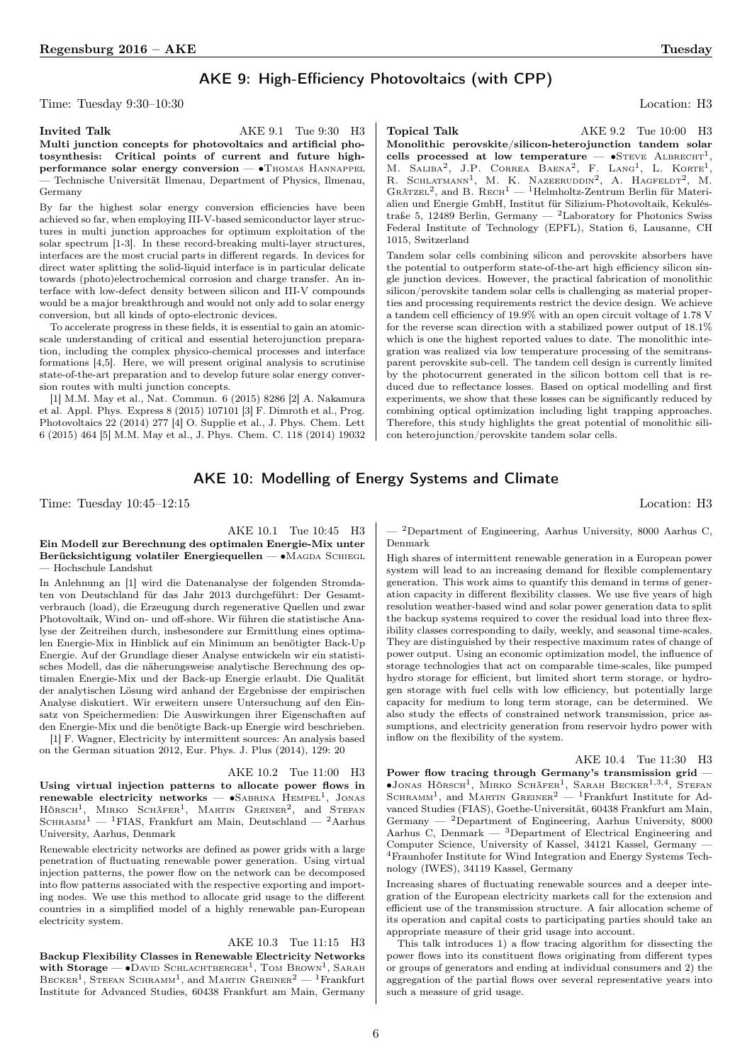### AKE 9: High-Efficiency Photovoltaics (with CPP)

Time: Tuesday 9:30–10:30 Location: H3

Invited Talk  $AKE 9.1$  Tue 9:30 H3 Multi junction concepts for photovoltaics and artificial photosynthesis: Critical points of current and future highperformance solar energy conversion — •THOMAS HANNAPPEL — Technische Universität Ilmenau, Department of Physics, Ilmenau, Germany

By far the highest solar energy conversion efficiencies have been achieved so far, when employing III-V-based semiconductor layer structures in multi junction approaches for optimum exploitation of the solar spectrum [1-3]. In these record-breaking multi-layer structures, interfaces are the most crucial parts in different regards. In devices for direct water splitting the solid-liquid interface is in particular delicate towards (photo)electrochemical corrosion and charge transfer. An interface with low-defect density between silicon and III-V compounds would be a major breakthrough and would not only add to solar energy conversion, but all kinds of opto-electronic devices.

To accelerate progress in these fields, it is essential to gain an atomicscale understanding of critical and essential heterojunction preparation, including the complex physico-chemical processes and interface formations [4,5]. Here, we will present original analysis to scrutinise state-of-the-art preparation and to develop future solar energy conversion routes with multi junction concepts.

[1] M.M. May et al., Nat. Commun. 6 (2015) 8286 [2] A. Nakamura et al. Appl. Phys. Express 8 (2015) 107101 [3] F. Dimroth et al., Prog. Photovoltaics 22 (2014) 277 [4] O. Supplie et al., J. Phys. Chem. Lett 6 (2015) 464 [5] M.M. May et al., J. Phys. Chem. C. 118 (2014) 19032

Topical Talk  $AKE 9.2$  Tue 10:00 H3 Monolithic perovskite/silicon-heterojunction tandem solar cells processed at low temperature —  $\bullet$ STEVE ALBRECHT<sup>1</sup>, M. SALIBA<sup>2</sup>, J.P. CORREA BAENA<sup>2</sup>, F. LANG<sup>1</sup>, L. KORTE<sup>1</sup>, R. SCHLATMANN<sup>1</sup>, M. K. NAZEERUDDIN<sup>2</sup>, A. HAGFELDT<sup>2</sup>, M. GRÄTZEL<sup>2</sup>, and B. RECH<sup>1</sup> — <sup>1</sup>Helmholtz-Zentrum Berlin für Materialien und Energie GmbH, Institut für Silizium-Photovoltaik, Kekuléstraße 5, 12489 Berlin, Germany — <sup>2</sup>Laboratory for Photonics Swiss Federal Institute of Technology (EPFL), Station 6, Lausanne, CH 1015, Switzerland

Tandem solar cells combining silicon and perovskite absorbers have the potential to outperform state-of-the-art high efficiency silicon single junction devices. However, the practical fabrication of monolithic silicon/perovskite tandem solar cells is challenging as material properties and processing requirements restrict the device design. We achieve a tandem cell efficiency of 19.9% with an open circuit voltage of 1.78 V for the reverse scan direction with a stabilized power output of 18.1% which is one the highest reported values to date. The monolithic integration was realized via low temperature processing of the semitransparent perovskite sub-cell. The tandem cell design is currently limited by the photocurrent generated in the silicon bottom cell that is reduced due to reflectance losses. Based on optical modelling and first experiments, we show that these losses can be significantly reduced by combining optical optimization including light trapping approaches. Therefore, this study highlights the great potential of monolithic silicon heterojunction/perovskite tandem solar cells.

#### AKE 10: Modelling of Energy Systems and Climate

Time: Tuesday  $10:45-12:15$  Location: H3

AKE 10.1 Tue 10:45 H3

#### Ein Modell zur Berechnung des optimalen Energie-Mix unter Berücksichtigung volatiler Energiequellen — •MAGDA SCHIEGL — Hochschule Landshut

In Anlehnung an [1] wird die Datenanalyse der folgenden Stromdaten von Deutschland für das Jahr 2013 durchgeführt: Der Gesamtverbrauch (load), die Erzeugung durch regenerative Quellen und zwar Photovoltaik, Wind on- und off-shore. Wir führen die statistische Analyse der Zeitreihen durch, insbesondere zur Ermittlung eines optimalen Energie-Mix in Hinblick auf ein Minimum an benötigter Back-Up Energie. Auf der Grundlage dieser Analyse entwickeln wir ein statistisches Modell, das die näherungsweise analytische Berechnung des optimalen Energie-Mix und der Back-up Energie erlaubt. Die Qualität der analytischen Lösung wird anhand der Ergebnisse der empirischen Analyse diskutiert. Wir erweitern unsere Untersuchung auf den Einsatz von Speichermedien: Die Auswirkungen ihrer Eigenschaften auf den Energie-Mix und die benötigte Back-up Energie wird beschrieben.

[1] F. Wagner, Electricity by intermittent sources: An analysis based on the German situation 2012, Eur. Phys. J. Plus (2014), 129: 20

#### AKE 10.2 Tue 11:00 H3

Using virtual injection patterns to allocate power flows in renewable electricity networks — •SABRINA HEMPEL<sup>1</sup>, JONAS HÖRSCH<sup>1</sup>, MIRKO SCHÄFER<sup>1</sup>, MARTIN GREINER<sup>2</sup>, and STEFAN  $S$ CHRAMM<sup>1</sup> — <sup>1</sup>FIAS, Frankfurt am Main, Deutschland — <sup>2</sup>Aarhus University, Aarhus, Denmark

Renewable electricity networks are defined as power grids with a large penetration of fluctuating renewable power generation. Using virtual injection patterns, the power flow on the network can be decomposed into flow patterns associated with the respective exporting and importing nodes. We use this method to allocate grid usage to the different countries in a simplified model of a highly renewable pan-European electricity system.

#### AKE 10.3 Tue 11:15 H3

Backup Flexibility Classes in Renewable Electricity Networks with Storage —  $\bullet$ David Schlachtberger<sup>1</sup>, Tom Brown<sup>1</sup>, Sarah BECKER<sup>1</sup>, STEFAN SCHRAMM<sup>1</sup>, and MARTIN GREINER<sup>2</sup> — <sup>1</sup>Frankfurt Institute for Advanced Studies, 60438 Frankfurt am Main, Germany

— <sup>2</sup>Department of Engineering, Aarhus University, 8000 Aarhus C, Denmark

High shares of intermittent renewable generation in a European power system will lead to an increasing demand for flexible complementary generation. This work aims to quantify this demand in terms of generation capacity in different flexibility classes. We use five years of high resolution weather-based wind and solar power generation data to split the backup systems required to cover the residual load into three flexibility classes corresponding to daily, weekly, and seasonal time-scales. They are distinguished by their respective maximum rates of change of power output. Using an economic optimization model, the influence of storage technologies that act on comparable time-scales, like pumped hydro storage for efficient, but limited short term storage, or hydrogen storage with fuel cells with low efficiency, but potentially large capacity for medium to long term storage, can be determined. We also study the effects of constrained network transmission, price assumptions, and electricity generation from reservoir hydro power with inflow on the flexibility of the system.

<span id="page-4-0"></span>AKE 10.4 Tue 11:30 H3

Power flow tracing through Germany's transmission grid — •Jonas Hörsch<sup>1</sup>, Mirko Schäfer<sup>1</sup>, Sarah Becker<sup>1,3,4</sup>, Stefan<br>Schramm<sup>1</sup>, and Martin Greiner<sup>2</sup> — <sup>1</sup>Frankfurt Institute for Advanced Studies (FIAS), Goethe-Universität, 60438 Frankfurt am Main, Germany — <sup>2</sup>Department of Engineering, Aarhus University, 8000 Aarhus C, Denmark  $-$  3Department of Electrical Engineering and Computer Science, University of Kassel, 34121 Kassel, Germany — <sup>4</sup>Fraunhofer Institute for Wind Integration and Energy Systems Technology (IWES), 34119 Kassel, Germany

Increasing shares of fluctuating renewable sources and a deeper integration of the European electricity markets call for the extension and efficient use of the transmission structure. A fair allocation scheme of its operation and capital costs to participating parties should take an appropriate measure of their grid usage into account.

This talk introduces 1) a flow tracing algorithm for dissecting the power flows into its constituent flows originating from different types or groups of generators and ending at individual consumers and 2) the aggregation of the partial flows over several representative years into such a measure of grid usage.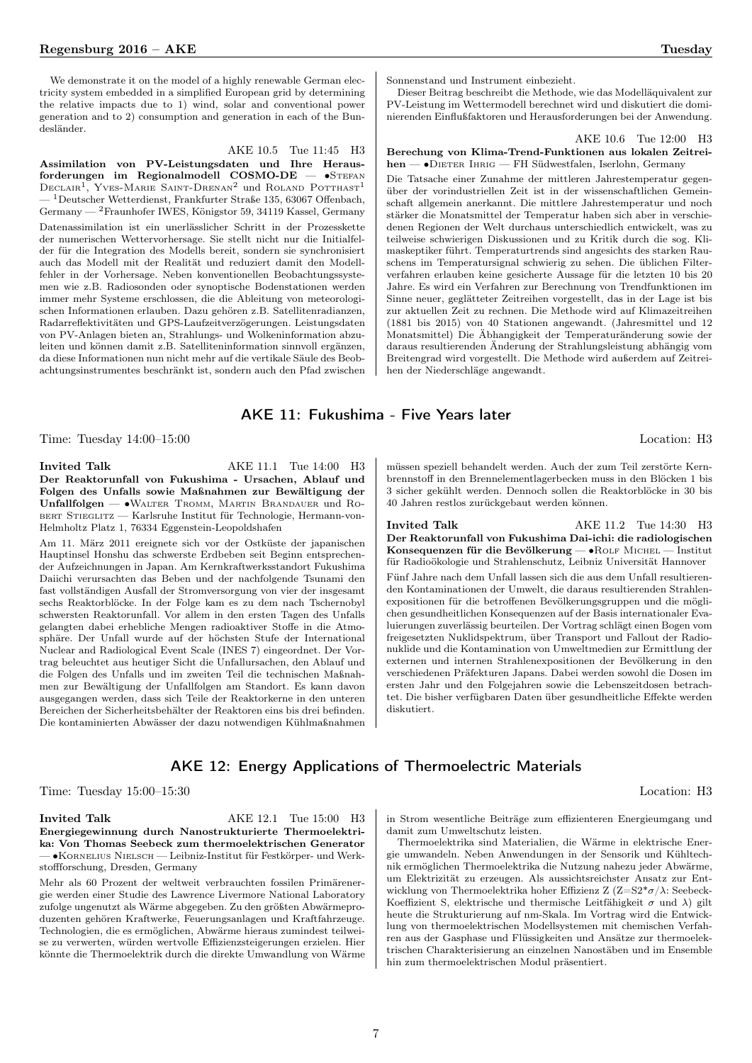We demonstrate it on the model of a highly renewable German electricity system embedded in a simplified European grid by determining the relative impacts due to 1) wind, solar and conventional power generation and to 2) consumption and generation in each of the Bundesländer.

Assimilation von PV-Leistungsdaten und Ihre Herausforderungen im Regionalmodell COSMO-DE — ∙Stefan  $\text{DECLAIR}^1$ , Yves-Marie Saint-Drenan<sup>2</sup> und Roland Potthast<sup>1</sup> — <sup>1</sup>Deutscher Wetterdienst, Frankfurter Straße 135, 63067 Offenbach, Germany — <sup>2</sup>Fraunhofer IWES, Königstor 59, 34119 Kassel, Germany Datenassimilation ist ein unerlässlicher Schritt in der Prozesskette der numerischen Wettervorhersage. Sie stellt nicht nur die Initialfelder für die Integration des Modells bereit, sondern sie synchronisiert auch das Modell mit der Realität und reduziert damit den Modellfehler in der Vorhersage. Neben konventionellen Beobachtungssystemen wie z.B. Radiosonden oder synoptische Bodenstationen werden immer mehr Systeme erschlossen, die die Ableitung von meteorologischen Informationen erlauben. Dazu gehören z.B. Satellitenradianzen, Radarreflektivitäten und GPS-Laufzeitverzögerungen. Leistungsdaten von PV-Anlagen bieten an, Strahlungs- und Wolkeninformation abzuleiten und können damit z.B. Satelliteninformation sinnvoll ergänzen, da diese Informationen nun nicht mehr auf die vertikale Säule des Beobachtungsinstrumentes beschränkt ist, sondern auch den Pfad zwischen Sonnenstand und Instrument einbezieht.

Dieser Beitrag beschreibt die Methode, wie das Modelläquivalent zur PV-Leistung im Wettermodell berechnet wird und diskutiert die dominierenden Einflußfaktoren und Herausforderungen bei der Anwendung.

AKE 10.6 Tue 12:00 H3

#### Berechung von Klima-Trend-Funktionen aus lokalen Zeitreihen — •DIETER IHRIG — FH Südwestfalen, Iserlohn, Germany

Die Tatsache einer Zunahme der mittleren Jahrestemperatur gegenüber der vorindustriellen Zeit ist in der wissenschaftlichen Gemeinschaft allgemein anerkannt. Die mittlere Jahrestemperatur und noch stärker die Monatsmittel der Temperatur haben sich aber in verschiedenen Regionen der Welt durchaus unterschiedlich entwickelt, was zu teilweise schwierigen Diskussionen und zu Kritik durch die sog. Klimaskeptiker führt. Temperaturtrends sind angesichts des starken Rauschens im Temperatursignal schwierig zu sehen. Die üblichen Filterverfahren erlauben keine gesicherte Aussage für die letzten 10 bis 20 Jahre. Es wird ein Verfahren zur Berechnung von Trendfunktionen im Sinne neuer, geglätteter Zeitreihen vorgestellt, das in der Lage ist bis zur aktuellen Zeit zu rechnen. Die Methode wird auf Klimazeitreihen (1881 bis 2015) von 40 Stationen angewandt. (Jahresmittel und 12 Monatsmittel) Die Äbhangigkeit der Temperaturänderung sowie der daraus resultierenden Änderung der Strahlungsleistung abhängig vom Breitengrad wird vorgestellt. Die Methode wird außerdem auf Zeitreihen der Niederschläge angewandt.

#### AKE 11: Fukushima - Five Years later

Time: Tuesday 14:00–15:00 Location: H3

Invited Talk  $AKE 11.1$  Tue 14:00 H3 Der Reaktorunfall von Fukushima - Ursachen, Ablauf und Folgen des Unfalls sowie Maßnahmen zur Bewältigung der Unfallfolgen — ∙Walter Tromm, Martin Brandauer und Ro-BERT STIEGLITZ — Karlsruhe Institut für Technologie, Hermann-von-Helmholtz Platz 1, 76334 Eggenstein-Leopoldshafen

Am 11. März 2011 ereignete sich vor der Ostküste der japanischen Hauptinsel Honshu das schwerste Erdbeben seit Beginn entsprechender Aufzeichnungen in Japan. Am Kernkraftwerksstandort Fukushima Daiichi verursachten das Beben und der nachfolgende Tsunami den fast vollständigen Ausfall der Stromversorgung von vier der insgesamt sechs Reaktorblöcke. In der Folge kam es zu dem nach Tschernobyl schwersten Reaktorunfall. Vor allem in den ersten Tagen des Unfalls gelangten dabei erhebliche Mengen radioaktiver Stoffe in die Atmosphäre. Der Unfall wurde auf der höchsten Stufe der International Nuclear and Radiological Event Scale (INES 7) eingeordnet. Der Vortrag beleuchtet aus heutiger Sicht die Unfallursachen, den Ablauf und die Folgen des Unfalls und im zweiten Teil die technischen Maßnahmen zur Bewältigung der Unfallfolgen am Standort. Es kann davon ausgegangen werden, dass sich Teile der Reaktorkerne in den unteren Bereichen der Sicherheitsbehälter der Reaktoren eins bis drei befinden. Die kontaminierten Abwässer der dazu notwendigen Kühlmaßnahmen

müssen speziell behandelt werden. Auch der zum Teil zerstörte Kernbrennstoff in den Brennelementlagerbecken muss in den Blöcken 1 bis 3 sicher gekühlt werden. Dennoch sollen die Reaktorblöcke in 30 bis 40 Jahren restlos zurückgebaut werden können.

Invited Talk  $AKE 11.2$  Tue 14:30 H3 Der Reaktorunfall von Fukushima Dai-ichi: die radiologischen Konsequenzen für die Bevölkerung —  $\bullet$  Rolf Michel — Institut für Radioökologie und Strahlenschutz, Leibniz Universität Hannover Fünf Jahre nach dem Unfall lassen sich die aus dem Unfall resultierenden Kontaminationen der Umwelt, die daraus resultierenden Strahlenexpositionen für die betroffenen Bevölkerungsgruppen und die möglichen gesundheitlichen Konsequenzen auf der Basis internationaler Evaluierungen zuverlässig beurteilen. Der Vortrag schlägt einen Bogen vom freigesetzten Nuklidspektrum, über Transport und Fallout der Radionuklide und die Kontamination von Umweltmedien zur Ermittlung der externen und internen Strahlenexpositionen der Bevölkerung in den verschiedenen Präfekturen Japans. Dabei werden sowohl die Dosen im ersten Jahr und den Folgejahren sowie die Lebenszeitdosen betrachtet. Die bisher verfügbaren Daten über gesundheitliche Effekte werden diskutiert.

#### AKE 12: Energy Applications of Thermoelectric Materials

Time: Tuesday 15:00–15:30 Location: H3

Invited Talk  $AKE 12.1$  Tue 15:00 H3 Energiegewinnung durch Nanostrukturierte Thermoelektrika: Von Thomas Seebeck zum thermoelektrischen Generator — ∙Kornelius Nielsch — Leibniz-Institut für Festkörper- und Werkstoffforschung, Dresden, Germany

Mehr als 60 Prozent der weltweit verbrauchten fossilen Primärenergie werden einer Studie des Lawrence Livermore National Laboratory zufolge ungenutzt als Wärme abgegeben. Zu den größten Abwärmeproduzenten gehören Kraftwerke, Feuerungsanlagen und Kraftfahrzeuge. Technologien, die es ermöglichen, Abwärme hieraus zumindest teilweise zu verwerten, würden wertvolle Effizienzsteigerungen erzielen. Hier könnte die Thermoelektrik durch die direkte Umwandlung von Wärme in Strom wesentliche Beiträge zum effizienteren Energieumgang und damit zum Umweltschutz leisten.

Thermoelektrika sind Materialien, die Wärme in elektrische Energie umwandeln. Neben Anwendungen in der Sensorik und Kühltechnik ermöglichen Thermoelektrika die Nutzung nahezu jeder Abwärme, um Elektrizität zu erzeugen. Als aussichtsreichster Ansatz zur Entwicklung von Thermoelektrika hoher Effizienz Z (Z=S2 $*\sigma/\lambda$ : Seebeck-Koeffizient S, elektrische und thermische Leitfähigkeit  $\sigma$  und  $\lambda$ ) gilt heute die Strukturierung auf nm-Skala. Im Vortrag wird die Entwicklung von thermoelektrischen Modellsystemen mit chemischen Verfahren aus der Gasphase und Flüssigkeiten und Ansätze zur thermoelektrischen Charakterisierung an einzelnen Nanostäben und im Ensemble hin zum thermoelektrischen Modul präsentiert.

7